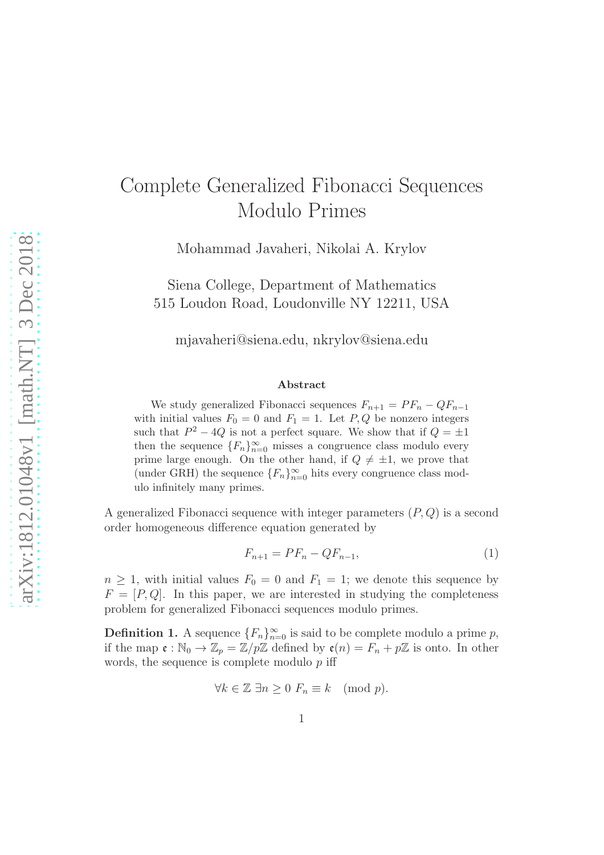# Complete Generalized Fibonacci Sequences Modulo Primes

Mohammad Javaheri, Nikolai A. Krylov

Siena College, Department of Mathematics 515 Loudon Road, Loudonville NY 12211, USA

mjavaheri@siena.edu, nkrylov@siena.edu

#### Abstract

We study generalized Fibonacci sequences  $F_{n+1} = PF_n - QF_{n-1}$ with initial values  $F_0 = 0$  and  $F_1 = 1$ . Let  $P, Q$  be nonzero integers such that  $P^2 - 4Q$  is not a perfect square. We show that if  $Q = \pm 1$ then the sequence  ${F_n}_{n=0}^{\infty}$  misses a congruence class modulo every prime large enough. On the other hand, if  $Q \neq \pm 1$ , we prove that (under GRH) the sequence  ${F_n}_{n=0}^{\infty}$  hits every congruence class modulo infinitely many primes.

A generalized Fibonacci sequence with integer parameters  $(P, Q)$  is a second order homogeneous difference equation generated by

<span id="page-0-0"></span>
$$
F_{n+1} = PF_n - QF_{n-1},
$$
\n(1)

 $n \geq 1$ , with initial values  $F_0 = 0$  and  $F_1 = 1$ ; we denote this sequence by  $F = [P, Q]$ . In this paper, we are interested in studying the completeness problem for generalized Fibonacci sequences modulo primes.

**Definition 1.** A sequence  ${F_n}_{n=0}^{\infty}$  is said to be complete modulo a prime p, if the map  $\mathfrak{e}: \mathbb{N}_0 \to \mathbb{Z}_p = \mathbb{Z}/p\mathbb{Z}$  defined by  $\mathfrak{e}(n) = F_n + p\mathbb{Z}$  is onto. In other words, the sequence is complete modulo  $p$  iff

$$
\forall k \in \mathbb{Z} \; \exists n \ge 0 \; F_n \equiv k \pmod{p}.
$$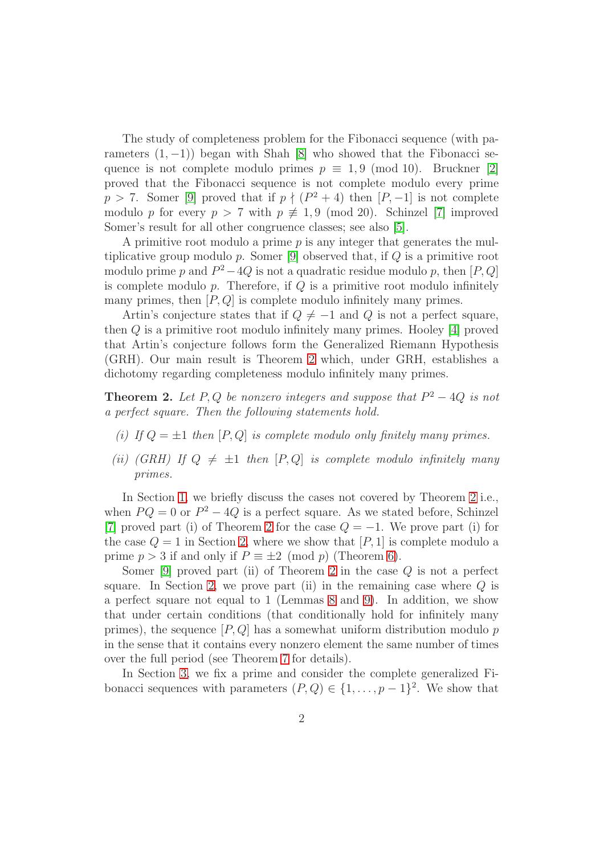The study of completeness problem for the Fibonacci sequence (with parameters  $(1, -1)$ ) began with Shah [\[8\]](#page-12-0) who showed that the Fibonacci sequence is not complete modulo primes  $p \equiv 1, 9 \pmod{10}$ . Bruckner [\[2\]](#page-12-1) proved that the Fibonacci sequence is not complete modulo every prime  $p > 7$ . Somer [\[9\]](#page-12-2) proved that if  $p \nmid (P^2 + 4)$  then  $[P, -1]$  is not complete modulo p for every  $p > 7$  with  $p \not\equiv 1, 9 \pmod{20}$ . Schinzel [\[7\]](#page-12-3) improved Somer's result for all other congruence classes; see also [\[5\]](#page-12-4).

A primitive root modulo a prime  $p$  is any integer that generates the multiplicative group modulo  $p$ . Somer [\[9\]](#page-12-2) observed that, if  $Q$  is a primitive root modulo prime p and  $P^2 - 4Q$  is not a quadratic residue modulo p, then [P, Q] is complete modulo  $p$ . Therefore, if  $Q$  is a primitive root modulo infinitely many primes, then  $[P,Q]$  is complete modulo infinitely many primes.

Artin's conjecture states that if  $Q \neq -1$  and Q is not a perfect square, then Q is a primitive root modulo infinitely many primes. Hooley [\[4\]](#page-12-5) proved that Artin's conjecture follows form the Generalized Riemann Hypothesis (GRH). Our main result is Theorem [2](#page-5-0) which, under GRH, establishes a dichotomy regarding completeness modulo infinitely many primes.

**Theorem 2.** Let  $P, Q$  be nonzero integers and suppose that  $P^2 - 4Q$  is not a perfect square. Then the following statements hold.

- (i) If  $Q = \pm 1$  then  $[P,Q]$  is complete modulo only finitely many primes.
- (ii) (GRH) If  $Q \neq \pm 1$  then  $[P,Q]$  is complete modulo infinitely many primes.

In Section [1,](#page-2-0) we briefly discuss the cases not covered by Theorem [2](#page-5-0) i.e., when  $PQ = 0$  or  $P^2 - 4Q$  is a perfect square. As we stated before, Schinzel [\[7\]](#page-12-3) proved part (i) of Theorem [2](#page-5-0) for the case  $Q = -1$ . We prove part (i) for the case  $Q = 1$  in Section [2,](#page-5-0) where we show that  $[P, 1]$  is complete modulo a prime  $p > 3$  if and only if  $P \equiv \pm 2 \pmod{p}$  (Theorem [6\)](#page-5-1).

Somer  $[9]$  proved part (ii) of Theorem [2](#page-5-0) in the case  $Q$  is not a perfect square. In Section [2,](#page-5-0) we prove part (ii) in the remaining case where  $Q$  is a perfect square not equal to 1 (Lemmas [8](#page-9-0) and [9\)](#page-10-0). In addition, we show that under certain conditions (that conditionally hold for infinitely many primes), the sequence  $[P,Q]$  has a somewhat uniform distribution modulo p in the sense that it contains every nonzero element the same number of times over the full period (see Theorem [7](#page-6-0) for details).

In Section [3,](#page-10-1) we fix a prime and consider the complete generalized Fibonacci sequences with parameters  $(P,Q) \in \{1,\ldots,p-1\}^2$ . We show that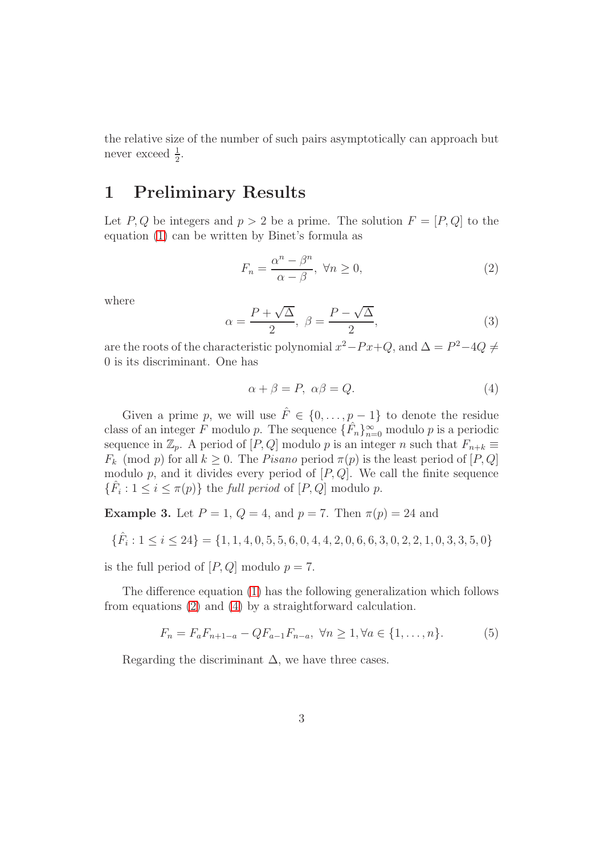the relative size of the number of such pairs asymptotically can approach but never exceed  $\frac{1}{2}$ .

## <span id="page-2-0"></span>1 Preliminary Results

Let P, Q be integers and  $p > 2$  be a prime. The solution  $F = [P, Q]$  to the equation [\(1\)](#page-0-0) can be written by Binet's formula as

<span id="page-2-1"></span>
$$
F_n = \frac{\alpha^n - \beta^n}{\alpha - \beta}, \ \forall n \ge 0,
$$
\n<sup>(2)</sup>

<span id="page-2-3"></span>where

$$
\alpha = \frac{P + \sqrt{\Delta}}{2}, \ \beta = \frac{P - \sqrt{\Delta}}{2}, \tag{3}
$$

are the roots of the characteristic polynomial  $x^2-Px+Q$ , and  $\Delta = P^2-4Q \neq$ 0 is its discriminant. One has

<span id="page-2-2"></span>
$$
\alpha + \beta = P, \ \alpha\beta = Q. \tag{4}
$$

Given a prime p, we will use  $\hat{F} \in \{0, \ldots, p-1\}$  to denote the residue class of an integer F modulo p. The sequence  $\{\hat{F}_n\}_{n=0}^{\infty}$  modulo p is a periodic sequence in  $\mathbb{Z}_p$ . A period of  $[P,Q]$  modulo p is an integer n such that  $F_{n+k} \equiv$  $F_k \pmod{p}$  for all  $k \geq 0$ . The *Pisano* period  $\pi(p)$  is the least period of  $[P,Q]$ modulo p, and it divides every period of  $[P,Q]$ . We call the finite sequence  $\{\hat{F}_i: 1 \leq i \leq \pi(p)\}\$  the *full period* of  $[P, Q]$  modulo *p*.

Example 3. Let  $P = 1$ ,  $Q = 4$ , and  $p = 7$ . Then  $\pi(p) = 24$  and

$$
\{\hat{F}_i: 1 \leq i \leq 24\} = \{1, 1, 4, 0, 5, 5, 6, 0, 4, 4, 2, 0, 6, 6, 3, 0, 2, 2, 1, 0, 3, 3, 5, 0\}
$$

is the full period of  $[P,Q]$  modulo  $p = 7$ .

The difference equation [\(1\)](#page-0-0) has the following generalization which follows from equations [\(2\)](#page-2-1) and [\(4\)](#page-2-2) by a straightforward calculation.

<span id="page-2-4"></span>
$$
F_n = F_a F_{n+1-a} - Q F_{a-1} F_{n-a}, \ \forall n \ge 1, \forall a \in \{1, ..., n\}.
$$
 (5)

Regarding the discriminant  $\Delta$ , we have three cases.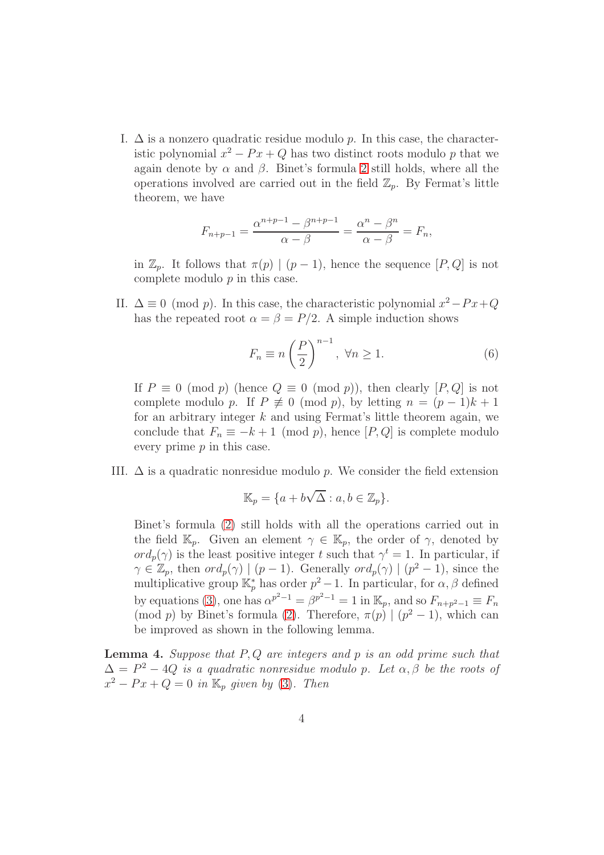I.  $\Delta$  is a nonzero quadratic residue modulo p. In this case, the characteristic polynomial  $x^2 - Px + Q$  has two distinct roots modulo p that we again denote by  $\alpha$  and  $\beta$ . Binet's formula [2](#page-2-1) still holds, where all the operations involved are carried out in the field  $\mathbb{Z}_n$ . By Fermat's little theorem, we have

$$
F_{n+p-1} = \frac{\alpha^{n+p-1} - \beta^{n+p-1}}{\alpha - \beta} = \frac{\alpha^n - \beta^n}{\alpha - \beta} = F_n,
$$

in  $\mathbb{Z}_p$ . It follows that  $\pi(p) | (p-1)$ , hence the sequence  $[P,Q]$  is not complete modulo p in this case.

II.  $\Delta \equiv 0 \pmod{p}$ . In this case, the characteristic polynomial  $x^2 - Px + Q$ has the repeated root  $\alpha = \beta = P/2$ . A simple induction shows

<span id="page-3-0"></span>
$$
F_n \equiv n \left(\frac{P}{2}\right)^{n-1}, \ \forall n \ge 1. \tag{6}
$$

If  $P \equiv 0 \pmod{p}$  (hence  $Q \equiv 0 \pmod{p}$ ), then clearly  $[P,Q]$  is not complete modulo p. If  $P \not\equiv 0 \pmod{p}$ , by letting  $n = (p-1)k + 1$ for an arbitrary integer  $k$  and using Fermat's little theorem again, we conclude that  $F_n \equiv -k+1 \pmod{p}$ , hence  $[P,Q]$  is complete modulo every prime  $p$  in this case.

III.  $\Delta$  is a quadratic nonresidue modulo p. We consider the field extension

$$
\mathbb{K}_p = \{a + b\sqrt{\Delta} : a, b \in \mathbb{Z}_p\}.
$$

Binet's formula [\(2\)](#page-2-1) still holds with all the operations carried out in the field  $\mathbb{K}_p$ . Given an element  $\gamma \in \mathbb{K}_p$ , the order of  $\gamma$ , denoted by  $ord_p(\gamma)$  is the least positive integer t such that  $\gamma^t = 1$ . In particular, if  $\gamma \in \mathbb{Z}_p$ , then  $\operatorname{ord}_p(\gamma) \mid (p-1)$ . Generally  $\operatorname{ord}_p(\gamma) \mid (p^2-1)$ , since the multiplicative group  $\mathbb{K}_p^*$  has order  $p^2-1$ . In particular, for  $\alpha, \beta$  defined by equations [\(3\)](#page-2-3), one has  $\alpha^{p^2-1} = \beta^{p^2-1} = 1$  in  $\mathbb{K}_p$ , and so  $F_{n+p^2-1} \equiv F_n$ (mod *p*) by Binet's formula [\(2\)](#page-2-1). Therefore,  $\pi(p) | (p^2 - 1)$ , which can be improved as shown in the following lemma.

<span id="page-3-1"></span>**Lemma 4.** Suppose that  $P, Q$  are integers and p is an odd prime such that  $\Delta = P^2 - 4Q$  is a quadratic nonresidue modulo p. Let  $\alpha, \beta$  be the roots of  $x^2 - Px + Q = 0$  in  $\mathbb{K}_p$  given by [\(3\)](#page-2-3). Then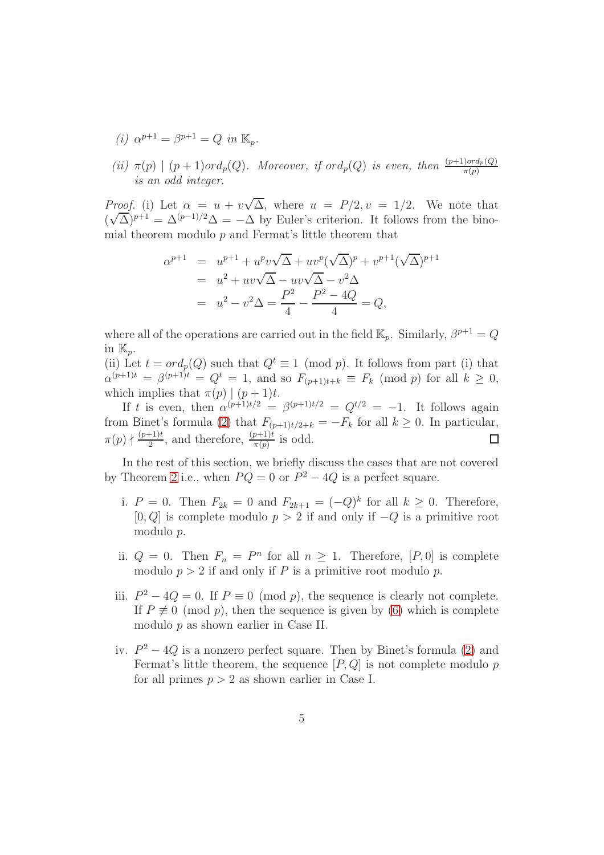- (i)  $\alpha^{p+1} = \beta^{p+1} = Q$  in  $\mathbb{K}_p$ .
- (ii)  $\pi(p) \mid (p+1) \text{ord}_p(Q)$ . Moreover, if  $\text{ord}_p(Q)$  is even, then  $\frac{(p+1) \text{ord}_p(Q)}{\pi(p)}$ is an odd integer.

*Proof.* (i) Let  $\alpha = u + v\sqrt{\Delta}$ , where  $u = P/2$ ,  $v = 1/2$ . We note that  $(\sqrt{\Delta})^{p+1} = \Delta^{(p-1)/2} \Delta = -\Delta$  by Euler's criterion. It follows from the binomial theorem modulo  $p$  and Fermat's little theorem that

$$
\alpha^{p+1} = u^{p+1} + u^p v \sqrt{\Delta} + u v^p (\sqrt{\Delta})^p + v^{p+1} (\sqrt{\Delta})^{p+1}
$$
  
=  $u^2 + u v \sqrt{\Delta} - u v \sqrt{\Delta} - v^2 \Delta$   
=  $u^2 - v^2 \Delta = \frac{P^2}{4} - \frac{P^2 - 4Q}{4} = Q$ ,

where all of the operations are carried out in the field  $\mathbb{K}_p$ . Similarly,  $\beta^{p+1} = Q$ in  $\mathbb{K}_p$ .

(ii) Let  $t = ord_p(Q)$  such that  $Q^t \equiv 1 \pmod{p}$ . It follows from part (i) that  $\alpha^{(p+1)t} = \beta^{(p+1)t} = Q^t = 1$ , and so  $F_{(p+1)t+k} \equiv F_k \pmod{p}$  for all  $k \ge 0$ , which implies that  $\pi(p) | (p+1)t$ .

If t is even, then  $\alpha^{(p+1)t/2} = \beta^{(p+1)t/2} = Q^{t/2} = -1$ . It follows again from Binet's formula [\(2\)](#page-2-1) that  $F_{(p+1)t/2+k} = -F_k$  for all  $k \ge 0$ . In particular,  $\pi(p) \nmid \frac{(p+1)t}{2}$  $\frac{(p+1)t}{2}$ , and therefore,  $\frac{(p+1)t}{\pi(p)}$  is odd.  $\Box$ 

In the rest of this section, we briefly discuss the cases that are not covered by Theorem [2](#page-5-0) i.e., when  $PQ = 0$  or  $P^2 - 4Q$  is a perfect square.

- i.  $P = 0$ . Then  $F_{2k} = 0$  and  $F_{2k+1} = (-Q)^k$  for all  $k \ge 0$ . Therefore, [0, Q] is complete modulo  $p > 2$  if and only if  $-Q$  is a primitive root modulo p.
- ii.  $Q = 0$ . Then  $F_n = P^n$  for all  $n \ge 1$ . Therefore,  $[P, 0]$  is complete modulo  $p > 2$  if and only if P is a primitive root modulo p.
- iii.  $P^2 4Q = 0$ . If  $P \equiv 0 \pmod{p}$ , the sequence is clearly not complete. If  $P \not\equiv 0 \pmod{p}$ , then the sequence is given by [\(6\)](#page-3-0) which is complete modulo p as shown earlier in Case II.
- iv.  $P^2 4Q$  is a nonzero perfect square. Then by Binet's formula [\(2\)](#page-2-1) and Fermat's little theorem, the sequence  $[P,Q]$  is not complete modulo p for all primes  $p > 2$  as shown earlier in Case I.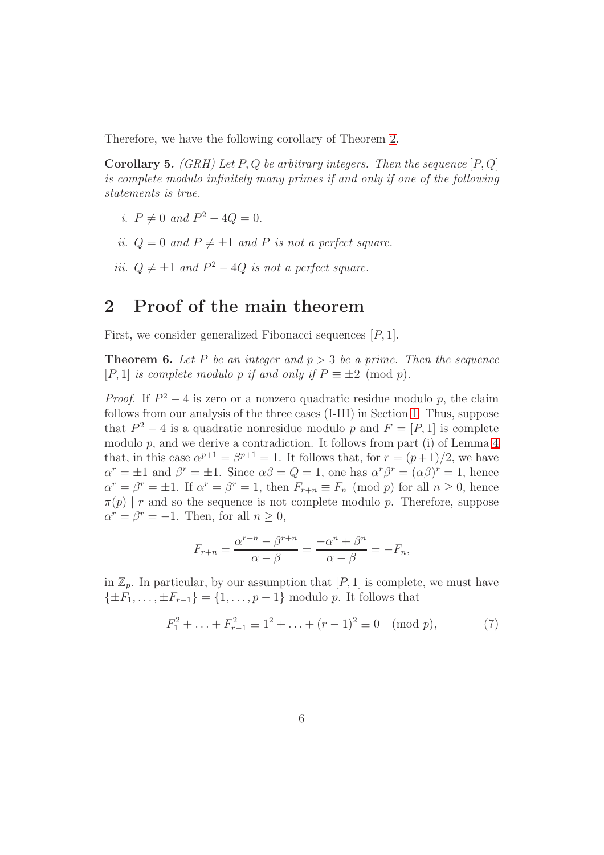Therefore, we have the following corollary of Theorem [2.](#page-5-0)

**Corollary 5.** (GRH) Let P, Q be arbitrary integers. Then the sequence  $[P,Q]$ is complete modulo infinitely many primes if and only if one of the following statements is true.

- i.  $P \neq 0$  and  $P^2 4Q = 0$ .
- ii.  $Q = 0$  and  $P \neq \pm 1$  and P is not a perfect square.
- iii.  $Q \neq \pm 1$  and  $P^2 4Q$  is not a perfect square.

### <span id="page-5-0"></span>2 Proof of the main theorem

First, we consider generalized Fibonacci sequences [P, 1].

<span id="page-5-1"></span>**Theorem 6.** Let P be an integer and  $p > 3$  be a prime. Then the sequence [P, 1] is complete modulo p if and only if  $P \equiv \pm 2 \pmod{p}$ .

*Proof.* If  $P^2 - 4$  is zero or a nonzero quadratic residue modulo p, the claim follows from our analysis of the three cases (I-III) in Section [1.](#page-2-0) Thus, suppose that  $P^2 - 4$  is a quadratic nonresidue modulo p and  $F = [P, 1]$  is complete modulo  $p$ , and we derive a contradiction. It follows from part (i) of Lemma  $4$ that, in this case  $\alpha^{p+1} = \beta^{p+1} = 1$ . It follows that, for  $r = (p+1)/2$ , we have  $\alpha^r = \pm 1$  and  $\beta^r = \pm 1$ . Since  $\alpha\beta = Q = 1$ , one has  $\alpha^r\beta^r = (\alpha\beta)^r = 1$ , hence  $\alpha^r = \beta^r = \pm 1$ . If  $\alpha^r = \beta^r = 1$ , then  $F_{r+n} \equiv F_n \pmod{p}$  for all  $n \ge 0$ , hence  $\pi(p)$  | r and so the sequence is not complete modulo p. Therefore, suppose  $\alpha^r = \beta^r = -1$ . Then, for all  $n \geq 0$ ,

<span id="page-5-2"></span>
$$
F_{r+n} = \frac{\alpha^{r+n} - \beta^{r+n}}{\alpha - \beta} = \frac{-\alpha^n + \beta^n}{\alpha - \beta} = -F_n,
$$

in  $\mathbb{Z}_p$ . In particular, by our assumption that  $[P, 1]$  is complete, we must have  $\{\pm F_1, \ldots, \pm F_{r-1}\} = \{1, \ldots, p-1\}$  modulo p. It follows that

$$
F_1^2 + \ldots + F_{r-1}^2 \equiv 1^2 + \ldots + (r-1)^2 \equiv 0 \pmod{p},\tag{7}
$$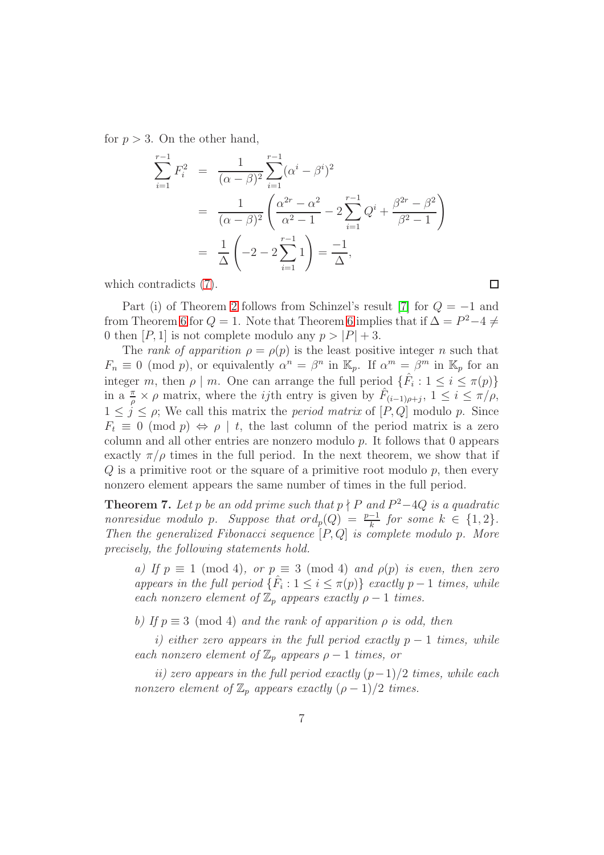for  $p > 3$ . On the other hand,

$$
\sum_{i=1}^{r-1} F_i^2 = \frac{1}{(\alpha - \beta)^2} \sum_{i=1}^{r-1} (\alpha^i - \beta^i)^2
$$
  
= 
$$
\frac{1}{(\alpha - \beta)^2} \left( \frac{\alpha^{2r} - \alpha^2}{\alpha^2 - 1} - 2 \sum_{i=1}^{r-1} Q^i + \frac{\beta^{2r} - \beta^2}{\beta^2 - 1} \right)
$$
  
= 
$$
\frac{1}{\Delta} \left( -2 - 2 \sum_{i=1}^{r-1} 1 \right) = \frac{-1}{\Delta},
$$

which contradicts [\(7\)](#page-5-2).

Part (i) of Theorem [2](#page-5-0) follows from Schinzel's result [\[7\]](#page-12-3) for  $Q = -1$  and from Theorem [6](#page-5-1) for  $Q = 1$ . Note that Theorem 6 implies that if  $\Delta = P^2 - 4 \neq 0$ 0 then [P, 1] is not complete modulo any  $p > |P| + 3$ .

The rank of apparition  $\rho = \rho(p)$  is the least positive integer n such that  $F_n \equiv 0 \pmod{p}$ , or equivalently  $\alpha^n = \beta^n$  in  $\mathbb{K}_p$ . If  $\alpha^m = \beta^m$  in  $\mathbb{K}_p$  for an integer m, then  $\rho \mid m$ . One can arrange the full period  $\{\hat{F}_i : 1 \leq i \leq \pi(p)\}\$ in a  $\frac{\pi}{\rho} \times \rho$  matrix, where the *ij*th entry is given by  $\hat{F}_{(i-1)\rho+j}$ ,  $1 \leq i \leq \pi/\rho$ ,  $1 \leq j \leq \rho$ ; We call this matrix the *period matrix* of [P, Q] modulo p. Since  $F_t \equiv 0 \pmod{p} \Leftrightarrow \rho \mid t$ , the last column of the period matrix is a zero column and all other entries are nonzero modulo p. It follows that 0 appears exactly  $\pi/\rho$  times in the full period. In the next theorem, we show that if  $Q$  is a primitive root or the square of a primitive root modulo  $p$ , then every nonzero element appears the same number of times in the full period.

<span id="page-6-0"></span>**Theorem 7.** Let p be an odd prime such that  $p \nmid P$  and  $P^2-4Q$  is a quadratic nonresidue modulo p. Suppose that  $\operatorname{ord}_p(Q) = \frac{p-1}{k}$  for some  $k \in \{1, 2\}.$ Then the generalized Fibonacci sequence  $[P,Q]$  is complete modulo p. More precisely, the following statements hold.

a) If  $p \equiv 1 \pmod{4}$ , or  $p \equiv 3 \pmod{4}$  and  $\rho(p)$  is even, then zero appears in the full period  $\{\hat{F}_i : 1 \leq i \leq \pi(p)\}$  exactly  $p-1$  times, while each nonzero element of  $\mathbb{Z}_p$  appears exactly  $\rho - 1$  times.

b) If  $p \equiv 3 \pmod{4}$  and the rank of apparition  $\rho$  is odd, then

i) either zero appears in the full period exactly  $p-1$  times, while each nonzero element of  $\mathbb{Z}_p$  appears  $\rho - 1$  times, or

ii) zero appears in the full period exactly  $(p-1)/2$  times, while each nonzero element of  $\mathbb{Z}_p$  appears exactly  $(\rho - 1)/2$  times.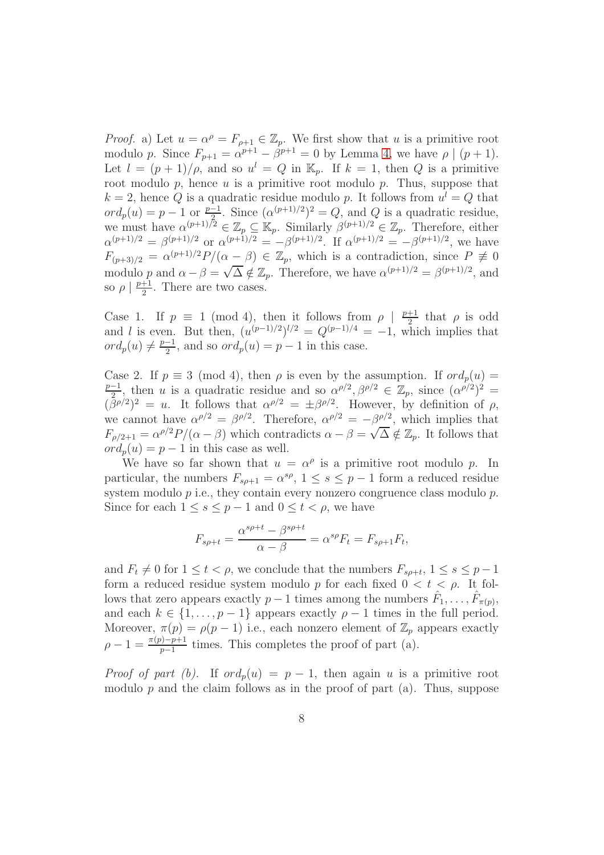*Proof.* a) Let  $u = \alpha^{\rho} = F_{\rho+1} \in \mathbb{Z}_p$ . We first show that u is a primitive root modulo p. Since  $F_{p+1} = \alpha^{p+1} - \beta^{p+1} = 0$  by Lemma [4,](#page-3-1) we have  $\rho \mid (p+1)$ . Let  $l = (p+1)/\rho$ , and so  $u^l = Q$  in  $\mathbb{K}_p$ . If  $k = 1$ , then Q is a primitive root modulo p, hence u is a primitive root modulo p. Thus, suppose that  $k = 2$ , hence Q is a quadratic residue modulo p. It follows from  $u^l = Q$  that  $ord_p(u) = p - 1$  or  $\frac{p-1}{b}$ . Since  $(\alpha^{(p+1)/2})^2 = Q$ , and Q is a quadratic residue, we must have  $\alpha^{(p+1)/2} \in \mathbb{Z}_p \subseteq \mathbb{K}_p$ . Similarly  $\beta^{(p+1)/2} \in \mathbb{Z}_p$ . Therefore, either  $\alpha^{(p+1)/2} = \beta^{(p+1)/2}$  or  $\alpha^{(p+1)/2} = -\beta^{(p+1)/2}$ . If  $\alpha^{(p+1)/2} = -\beta^{(p+1)/2}$ , we have  $F_{(p+3)/2} = \alpha^{(p+1)/2} P/(\alpha - \beta) \in \mathbb{Z}_p$ , which is a contradiction, since  $P \not\equiv 0$ modulo p and  $\alpha - \beta = \sqrt{\Delta} \notin \mathbb{Z}_p$ . Therefore, we have  $\alpha^{(p+1)/2} = \beta^{(p+1)/2}$ , and so  $\rho \mid \frac{p+1}{2}$  $\frac{+1}{2}$ . There are two cases.

Case 1. If  $p \equiv 1 \pmod{4}$ , then it follows from  $\rho \mid \frac{p+1}{2}$  $\frac{+1}{2}$  that  $\rho$  is odd and l is even. But then,  $(u^{(p-1)/2})^{l/2} = Q^{(p-1)/4} = -1$ , which implies that  $ord_p(u) \neq \frac{p-1}{2}$  $\frac{-1}{2}$ , and so  $ord_p(u) = p - 1$  in this case.

Case 2. If  $p \equiv 3 \pmod{4}$ , then  $\rho$  is even by the assumption. If  $ord_p(u) =$  $p-1$  $\frac{1}{2}$ , then u is a quadratic residue and so  $\alpha^{\rho/2}, \beta^{\rho/2} \in \mathbb{Z}_p$ , since  $(\alpha^{\rho/2})^2 =$  $(\bar{\beta}^{\rho/2})^2 = u$ . It follows that  $\alpha^{\rho/2} = \pm \beta^{\rho/2}$ . However, by definition of  $\rho$ , we cannot have  $\alpha^{\rho/2} = \beta^{\rho/2}$ . Therefore,  $\alpha^{\rho/2} = -\beta^{\rho/2}$ , which implies that  $F_{\rho/2+1} = \alpha^{\rho/2} P/(\alpha - \beta)$  which contradicts  $\alpha - \beta = \sqrt{\Delta} \notin \mathbb{Z}_p$ . It follows that  $ord_p(u) = p - 1$  in this case as well.

We have so far shown that  $u = \alpha^{\rho}$  is a primitive root modulo p. In particular, the numbers  $F_{s\rho+1} = \alpha^{s\rho}$ ,  $1 \leq s \leq p-1$  form a reduced residue system modulo  $p$  i.e., they contain every nonzero congruence class modulo  $p$ . Since for each  $1 \leq s \leq p-1$  and  $0 \leq t < \rho$ , we have

$$
F_{s\rho+t} = \frac{\alpha^{s\rho+t} - \beta^{s\rho+t}}{\alpha - \beta} = \alpha^{s\rho} F_t = F_{s\rho+1} F_t,
$$

and  $F_t \neq 0$  for  $1 \leq t < \rho$ , we conclude that the numbers  $F_{s\rho+t}$ ,  $1 \leq s \leq p-1$ form a reduced residue system modulo p for each fixed  $0 < t < \rho$ . It follows that zero appears exactly  $p-1$  times among the numbers  $\hat{F}_1, \ldots, \hat{F}_{\pi(p)}$ , and each  $k \in \{1, \ldots, p-1\}$  appears exactly  $\rho - 1$  times in the full period. Moreover,  $\pi(p) = \rho(p-1)$  i.e., each nonzero element of  $\mathbb{Z}_p$  appears exactly  $\rho - 1 = \frac{\pi(p) - p + 1}{p - 1}$  times. This completes the proof of part (a).

*Proof of part (b).* If  $ord_n(u) = p - 1$ , then again u is a primitive root modulo  $p$  and the claim follows as in the proof of part (a). Thus, suppose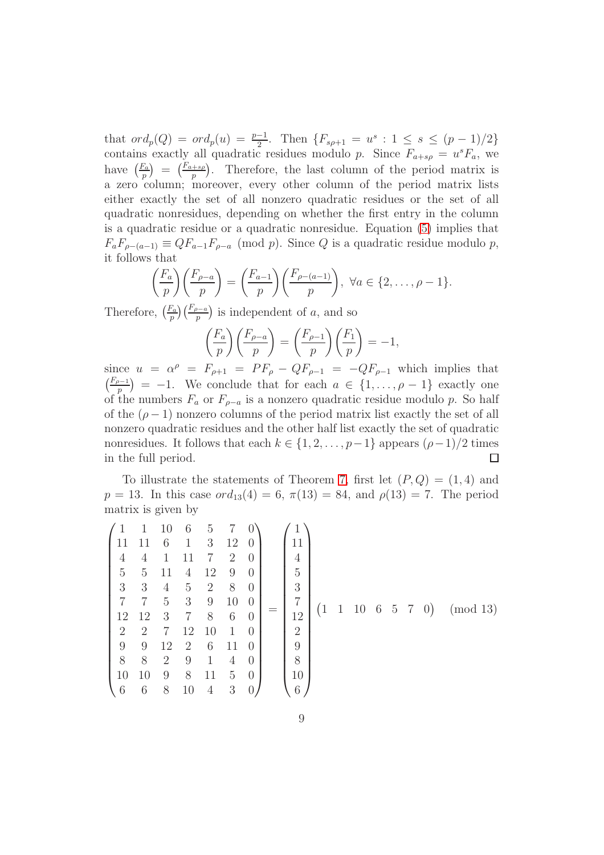that  $\text{ord}_p(Q) = \text{ord}_p(u) = \frac{p-1}{2}$ . Then  $\{F_{s\rho+1} = u^s : 1 \leq s \leq (p-1)/2\}$ contains exactly all quadratic residues modulo p. Since  $F_{a+sp} = u^s F_a$ , we have  $\left(\frac{F_a}{n}\right)$  $\binom{F_a}{p} = \binom{F_{a+sp}}{p}$ . Therefore, the last column of the period matrix is a zero column; moreover, every other column of the period matrix lists either exactly the set of all nonzero quadratic residues or the set of all quadratic nonresidues, depending on whether the first entry in the column is a quadratic residue or a quadratic nonresidue. Equation [\(5\)](#page-2-4) implies that  $F_a F_{\rho-(a-1)} \equiv Q F_{a-1} F_{\rho-a} \pmod{p}$ . Since Q is a quadratic residue modulo p, it follows that

$$
\left(\frac{F_a}{p}\right)\left(\frac{F_{\rho-a}}{p}\right) = \left(\frac{F_{a-1}}{p}\right)\left(\frac{F_{\rho-(a-1)}}{p}\right), \ \forall a \in \{2,\ldots,\rho-1\}.
$$

Therefore,  $\left(\frac{F_a}{r}\right)$  $\frac{F_a}{p}$  $\left(\frac{F_{p-a}}{p}\right)$  is independent of a, and so

$$
\left(\frac{F_a}{p}\right)\left(\frac{F_{\rho-a}}{p}\right) = \left(\frac{F_{\rho-1}}{p}\right)\left(\frac{F_1}{p}\right) = -1,
$$

since  $u = \alpha^{\rho} = F_{\rho+1} = PF_{\rho} - QF_{\rho-1} = -QF_{\rho-1}$  which implies that  $\left(\frac{F_{\rho-1}}{F_{\rho}}\right)$  = -1. We conclude that for each  $a \in \{1,\ldots,\rho-1\}$  exactly one of the numbers  $F_a$  or  $F_{\rho-a}$  is a nonzero quadratic residue modulo p. So half of the  $(\rho - 1)$  nonzero columns of the period matrix list exactly the set of all nonzero quadratic residues and the other half list exactly the set of quadratic nonresidues. It follows that each  $k \in \{1, 2, ..., p-1\}$  appears  $(ρ-1)/2$  times in the full period.  $□$ in the full period.

To illustrate the statements of Theorem [7,](#page-6-0) first let  $(P,Q) = (1,4)$  and  $p = 13$ . In this case  $\text{ord}_{13}(4) = 6$ ,  $\pi(13) = 84$ , and  $\rho(13) = 7$ . The period matrix is given by

$$
\begin{pmatrix}\n1 & 1 & 10 & 6 & 5 & 7 & 0 \\
11 & 11 & 6 & 1 & 3 & 12 & 0 \\
4 & 4 & 1 & 11 & 7 & 2 & 0 \\
5 & 5 & 11 & 4 & 12 & 9 & 0 \\
3 & 3 & 4 & 5 & 2 & 8 & 0 \\
7 & 7 & 5 & 3 & 9 & 10 & 0 \\
12 & 12 & 3 & 7 & 8 & 6 & 0 \\
2 & 2 & 7 & 12 & 10 & 1 & 0 \\
9 & 9 & 12 & 2 & 6 & 11 & 0 \\
9 & 8 & 8 & 2 & 9 & 1 & 4 & 0 \\
10 & 10 & 9 & 8 & 11 & 5 & 0 \\
6 & 6 & 8 & 10 & 4 & 3 & 0\n\end{pmatrix} = \begin{pmatrix}\n1 \\
11 \\
4 \\
5 \\
3 \\
12 \\
12 \\
9 \\
8 \\
10 \\
10 \\
10 \\
6\n\end{pmatrix}
$$
\n(1 1 10 6 5 7 0) (mod 13)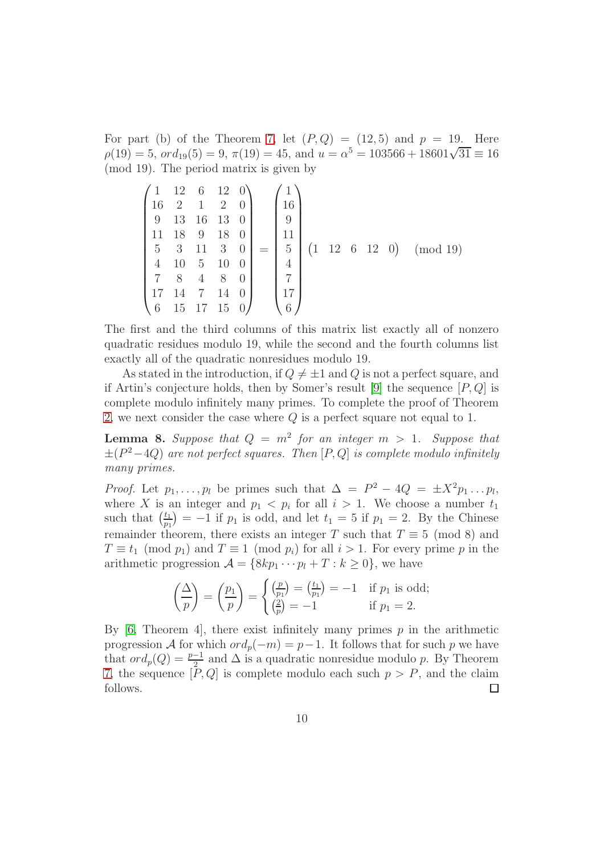For part (b) of the Theorem [7,](#page-6-0) let  $(P,Q) = (12,5)$  and  $p = 19$ . Here  $\rho(19) = 5$ ,  $\sigma d_{19}(5) = 9$ ,  $\pi(19) = 45$ , and  $u = \alpha^5 = 103566 + 18601\sqrt{31} \equiv 16$ (mod 19). The period matrix is given by

$$
\begin{pmatrix}\n1 & 12 & 6 & 12 & 0 \\
16 & 2 & 1 & 2 & 0 \\
9 & 13 & 16 & 13 & 0 \\
11 & 18 & 9 & 18 & 0 \\
5 & 3 & 11 & 3 & 0 \\
4 & 10 & 5 & 10 & 0 \\
7 & 8 & 4 & 8 & 0 \\
17 & 14 & 7 & 14 & 0 \\
6 & 15 & 17 & 15 & 0\n\end{pmatrix} = \begin{pmatrix}\n1 \\
16 \\
9 \\
11 \\
5 \\
4 \\
17 \\
17 \\
18\n\end{pmatrix} (1 \ 12 \ 6 \ 12 \ 0) \pmod{19}
$$

The first and the third columns of this matrix list exactly all of nonzero quadratic residues modulo 19, while the second and the fourth columns list exactly all of the quadratic nonresidues modulo 19.

As stated in the introduction, if  $Q \neq \pm 1$  and Q is not a perfect square, and if Artin's conjecture holds, then by Somer's result [\[9\]](#page-12-2) the sequence  $[P,Q]$  is complete modulo infinitely many primes. To complete the proof of Theorem [2,](#page-5-0) we next consider the case where Q is a perfect square not equal to 1.

<span id="page-9-0"></span>**Lemma 8.** Suppose that  $Q = m^2$  for an integer  $m > 1$ . Suppose that  $\pm (P^2-4Q)$  are not perfect squares. Then  $[P,Q]$  is complete modulo infinitely many primes.

*Proof.* Let  $p_1, \ldots, p_l$  be primes such that  $\Delta = P^2 - 4Q = \pm X^2 p_1 \ldots p_l$ , where X is an integer and  $p_1 < p_i$  for all  $i > 1$ . We choose a number  $t_1$ such that  $\left(\frac{t_1}{t_2}\right)$  $\binom{t_1}{p_1}$  = -1 if  $p_1$  is odd, and let  $t_1 = 5$  if  $p_1 = 2$ . By the Chinese remainder theorem, there exists an integer T such that  $T \equiv 5 \pmod{8}$  and  $T \equiv t_1 \pmod{p_1}$  and  $T \equiv 1 \pmod{p_i}$  for all  $i > 1$ . For every prime p in the arithmetic progression  $\mathcal{A} = \{8kp_1 \cdots p_l + T : k \geq 0\}$ , we have

$$
\left(\frac{\Delta}{p}\right) = \left(\frac{p_1}{p}\right) = \begin{cases} \left(\frac{p}{p_1}\right) = \left(\frac{t_1}{p_1}\right) = -1 & \text{if } p_1 \text{ is odd;}\\ \left(\frac{2}{p}\right) = -1 & \text{if } p_1 = 2.\end{cases}
$$

By  $[6,$  Theorem 4, there exist infinitely many primes p in the arithmetic progression A for which  $\text{ord}_p(-m) = p-1$ . It follows that for such p we have that  $ord_p(Q) = \frac{p-1}{2}$  and  $\Delta$  is a quadratic nonresidue modulo p. By Theorem [7,](#page-6-0) the sequence  $[P,Q]$  is complete modulo each such  $p > P$ , and the claim follows.  $\Box$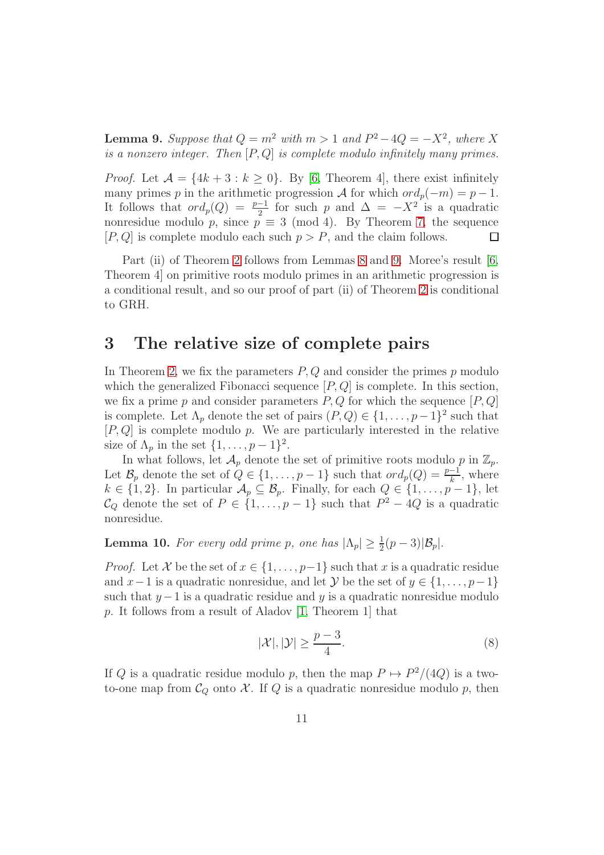<span id="page-10-0"></span>**Lemma 9.** Suppose that  $Q = m^2$  with  $m > 1$  and  $P^2 - 4Q = -X^2$ , where X is a nonzero integer. Then  $[P,Q]$  is complete modulo infinitely many primes.

*Proof.* Let  $\mathcal{A} = \{4k+3 : k \geq 0\}$ . By [\[6,](#page-12-6) Theorem 4], there exist infinitely many primes p in the arithmetic progression A for which  $ord_p(-m) = p - 1$ . It follows that  $\sigma d_p(Q) = \frac{p-1}{2}$  for such p and  $\Delta = -X^2$  is a quadratic nonresidue modulo p, since  $p \equiv 3 \pmod{4}$ . By Theorem [7,](#page-6-0) the sequence  $[P,Q]$  is complete modulo each such  $p > P$ , and the claim follows.  $[P,Q]$  is complete modulo each such  $p > P$ , and the claim follows.

Part (ii) of Theorem [2](#page-5-0) follows from Lemmas [8](#page-9-0) and [9.](#page-10-0) Moree's result [\[6,](#page-12-6) Theorem 4] on primitive roots modulo primes in an arithmetic progression is a conditional result, and so our proof of part (ii) of Theorem [2](#page-5-0) is conditional to GRH.

#### <span id="page-10-1"></span>3 The relative size of complete pairs

In Theorem [2,](#page-5-0) we fix the parameters  $P, Q$  and consider the primes  $p$  modulo which the generalized Fibonacci sequence  $[P,Q]$  is complete. In this section, we fix a prime p and consider parameters  $P, Q$  for which the sequence  $[P, Q]$ is complete. Let  $\Lambda_p$  denote the set of pairs  $(P,Q) \in \{1,\ldots,p-1\}^2$  such that  $[P,Q]$  is complete modulo p. We are particularly interested in the relative size of  $\Lambda_p$  in the set  $\{1, \ldots, p-1\}^2$ .

In what follows, let  $\mathcal{A}_p$  denote the set of primitive roots modulo p in  $\mathbb{Z}_p$ . Let  $\mathcal{B}_p$  denote the set of  $Q \in \{1, \ldots, p-1\}$  such that  $\text{ord}_p(Q) = \frac{p-1}{k}$ , where  $k \in \{1, 2\}$ . In particular  $\mathcal{A}_p \subseteq \mathcal{B}_p$ . Finally, for each  $Q \in \{1, \ldots, p-1\}$ , let  $\mathcal{C}_Q$  denote the set of  $P \in \{1, \ldots, p-1\}$  such that  $P^2 - 4Q$  is a quadratic nonresidue.

<span id="page-10-3"></span>**Lemma 10.** For every odd prime p, one has  $|\Lambda_p| \geq \frac{1}{2}(p-3)|B_p|$ .

*Proof.* Let X be the set of  $x \in \{1, \ldots, p-1\}$  such that x is a quadratic residue and  $x-1$  is a quadratic nonresidue, and let  $\mathcal{Y}$  be the set of  $y \in \{1, \ldots, p-1\}$ such that  $y-1$  is a quadratic residue and y is a quadratic nonresidue modulo p. It follows from a result of Aladov [\[1,](#page-12-7) Theorem 1] that

<span id="page-10-2"></span>
$$
|\mathcal{X}|, |\mathcal{Y}| \ge \frac{p-3}{4}.\tag{8}
$$

If Q is a quadratic residue modulo p, then the map  $P \mapsto P^2/(4Q)$  is a twoto-one map from  $\mathcal{C}_Q$  onto X. If Q is a quadratic nonresidue modulo p, then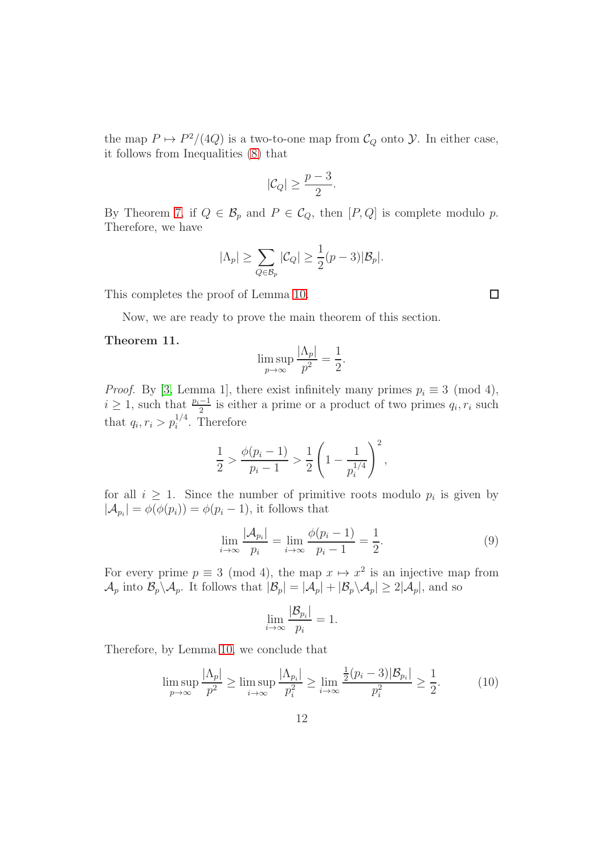the map  $P \mapsto P^2/(4Q)$  is a two-to-one map from  $C_Q$  onto  $\mathcal Y$ . In either case, it follows from Inequalities [\(8\)](#page-10-2) that

$$
|\mathcal{C}_Q| \ge \frac{p-3}{2}.
$$

By Theorem [7,](#page-6-0) if  $Q \in \mathcal{B}_p$  and  $P \in \mathcal{C}_Q$ , then  $[P,Q]$  is complete modulo p. Therefore, we have

$$
|\Lambda_p| \ge \sum_{Q \in \mathcal{B}_p} |\mathcal{C}_Q| \ge \frac{1}{2}(p-3)|\mathcal{B}_p|.
$$

This completes the proof of Lemma [10.](#page-10-3)

Now, we are ready to prove the main theorem of this section.

#### <span id="page-11-1"></span>Theorem 11.

$$
\limsup_{p \to \infty} \frac{|\Lambda_p|}{p^2} = \frac{1}{2}.
$$

*Proof.* By [\[3,](#page-12-8) Lemma 1], there exist infinitely many primes  $p_i \equiv 3 \pmod{4}$ ,  $i \geq 1$ , such that  $\frac{p_i-1}{2}$  is either a prime or a product of two primes  $q_i, r_i$  such that  $q_i, r_i > p_i^{1/4}$ . Therefore

$$
\frac{1}{2} > \frac{\phi(p_i - 1)}{p_i - 1} > \frac{1}{2} \left( 1 - \frac{1}{p_i^{1/4}} \right)^2,
$$

for all  $i \geq 1$ . Since the number of primitive roots modulo  $p_i$  is given by  $|\mathcal{A}_{p_i}| = \phi(\phi(p_i)) = \phi(p_i - 1)$ , it follows that

$$
\lim_{i \to \infty} \frac{|\mathcal{A}_{p_i}|}{p_i} = \lim_{i \to \infty} \frac{\phi(p_i - 1)}{p_i - 1} = \frac{1}{2}.
$$
\n(9)

For every prime  $p \equiv 3 \pmod{4}$ , the map  $x \mapsto x^2$  is an injective map from  $\mathcal{A}_p$  into  $\mathcal{B}_p \setminus \mathcal{A}_p$ . It follows that  $|\mathcal{B}_p| = |\mathcal{A}_p| + |\mathcal{B}_p \setminus \mathcal{A}_p| \ge 2|\mathcal{A}_p|$ , and so

$$
\lim_{i \to \infty} \frac{|\mathcal{B}_{p_i}|}{p_i} = 1.
$$

Therefore, by Lemma [10,](#page-10-3) we conclude that

$$
\limsup_{p \to \infty} \frac{|\Lambda_p|}{p^2} \ge \limsup_{i \to \infty} \frac{|\Lambda_{p_i}|}{p_i^2} \ge \lim_{i \to \infty} \frac{\frac{1}{2}(p_i - 3)|\mathcal{B}_{p_i}|}{p_i^2} \ge \frac{1}{2}.
$$
 (10)

<span id="page-11-0"></span>12

 $\Box$